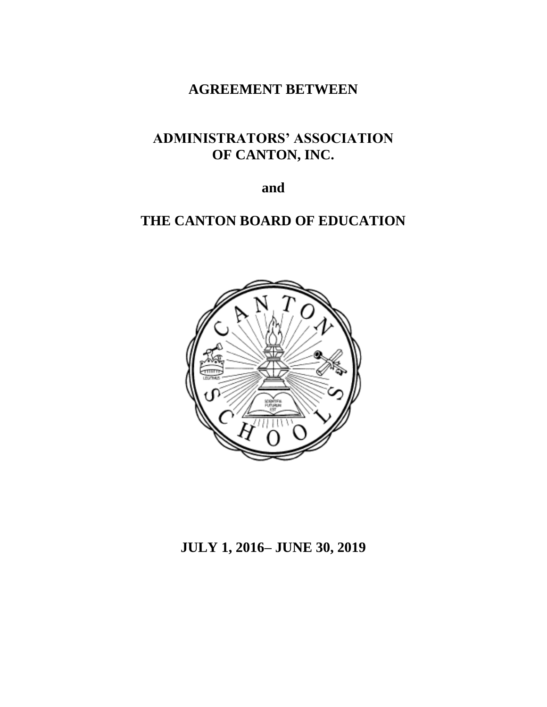# **AGREEMENT BETWEEN**

# **ADMINISTRATORS' ASSOCIATION OF CANTON, INC.**

**and**

# **THE CANTON BOARD OF EDUCATION**



# **JULY 1, 2016– JUNE 30, 2019**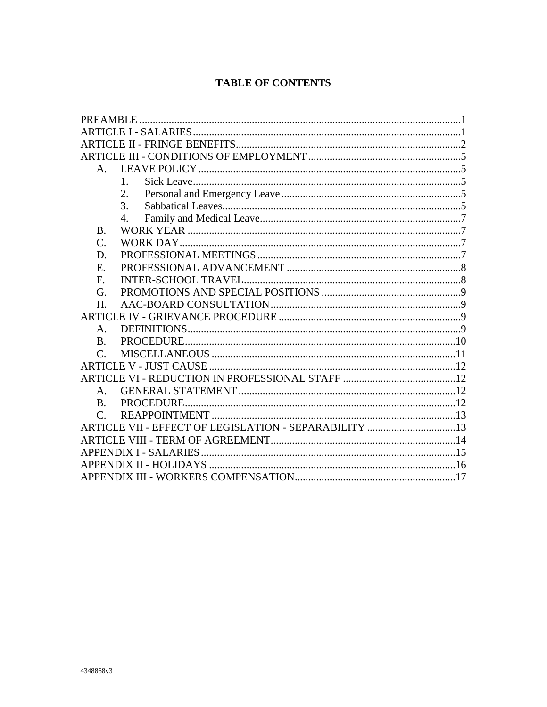# **TABLE OF CONTENTS**

| $A_{\cdot}$     |                                                       |  |  |  |
|-----------------|-------------------------------------------------------|--|--|--|
|                 | $\mathbf{1}$                                          |  |  |  |
|                 | 2.                                                    |  |  |  |
|                 | 3.                                                    |  |  |  |
|                 | $\mathbf{A}$                                          |  |  |  |
| <b>B.</b>       |                                                       |  |  |  |
| $\mathcal{C}$ . |                                                       |  |  |  |
| D.              |                                                       |  |  |  |
| Ε.              |                                                       |  |  |  |
| F.              |                                                       |  |  |  |
| G.              |                                                       |  |  |  |
| H.              |                                                       |  |  |  |
|                 |                                                       |  |  |  |
| $A_{-}$         |                                                       |  |  |  |
| B.              |                                                       |  |  |  |
| $\mathcal{C}$ . |                                                       |  |  |  |
|                 |                                                       |  |  |  |
|                 |                                                       |  |  |  |
| $A_{\cdot}$     |                                                       |  |  |  |
| $\bf{B}$        |                                                       |  |  |  |
| $\mathcal{C}$   |                                                       |  |  |  |
|                 | ARTICLE VII - EFFECT OF LEGISLATION - SEPARABILITY 13 |  |  |  |
|                 |                                                       |  |  |  |
|                 |                                                       |  |  |  |
|                 |                                                       |  |  |  |
|                 |                                                       |  |  |  |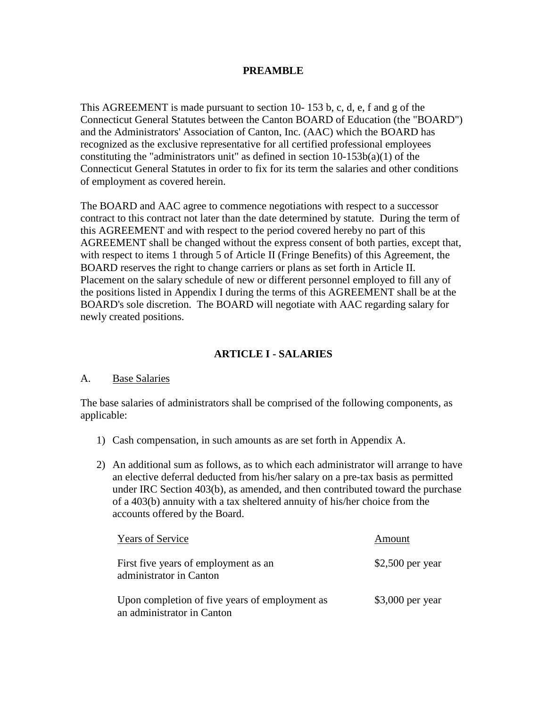### **PREAMBLE**

This AGREEMENT is made pursuant to section 10- 153 b, c, d, e, f and g of the Connecticut General Statutes between the Canton BOARD of Education (the "BOARD") and the Administrators' Association of Canton, Inc. (AAC) which the BOARD has recognized as the exclusive representative for all certified professional employees constituting the "administrators unit" as defined in section  $10-153b(a)(1)$  of the Connecticut General Statutes in order to fix for its term the salaries and other conditions of employment as covered herein.

The BOARD and AAC agree to commence negotiations with respect to a successor contract to this contract not later than the date determined by statute. During the term of this AGREEMENT and with respect to the period covered hereby no part of this AGREEMENT shall be changed without the express consent of both parties, except that, with respect to items 1 through 5 of Article II (Fringe Benefits) of this Agreement, the BOARD reserves the right to change carriers or plans as set forth in Article II. Placement on the salary schedule of new or different personnel employed to fill any of the positions listed in Appendix I during the terms of this AGREEMENT shall be at the BOARD's sole discretion. The BOARD will negotiate with AAC regarding salary for newly created positions.

### **ARTICLE I - SALARIES**

#### A. Base Salaries

The base salaries of administrators shall be comprised of the following components, as applicable:

- 1) Cash compensation, in such amounts as are set forth in Appendix A.
- 2) An additional sum as follows, as to which each administrator will arrange to have an elective deferral deducted from his/her salary on a pre-tax basis as permitted under IRC Section 403(b), as amended, and then contributed toward the purchase of a 403(b) annuity with a tax sheltered annuity of his/her choice from the accounts offered by the Board.

| <b>Years of Service</b>                                                      | Amount            |
|------------------------------------------------------------------------------|-------------------|
| First five years of employment as an<br>administrator in Canton              | $$2,500$ per year |
| Upon completion of five years of employment as<br>an administrator in Canton | $$3,000$ per year |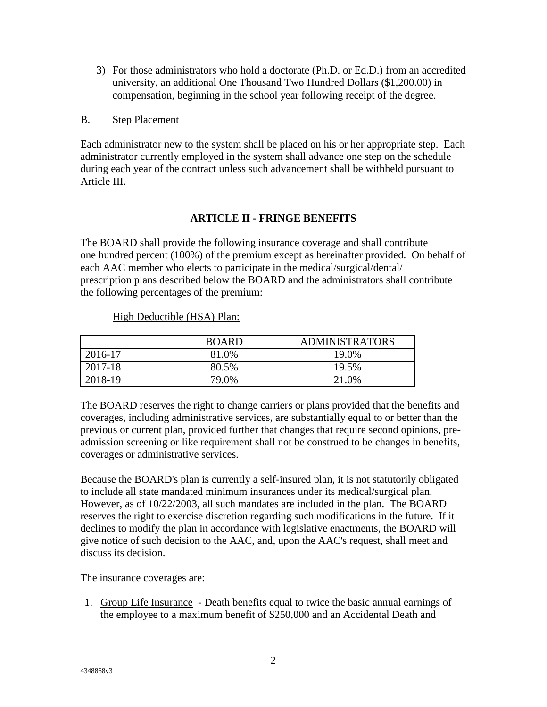- 3) For those administrators who hold a doctorate (Ph.D. or Ed.D.) from an accredited university, an additional One Thousand Two Hundred Dollars (\$1,200.00) in compensation, beginning in the school year following receipt of the degree.
- B. Step Placement

Each administrator new to the system shall be placed on his or her appropriate step. Each administrator currently employed in the system shall advance one step on the schedule during each year of the contract unless such advancement shall be withheld pursuant to Article III.

# **ARTICLE II - FRINGE BENEFITS**

The BOARD shall provide the following insurance coverage and shall contribute one hundred percent (100%) of the premium except as hereinafter provided. On behalf of each AAC member who elects to participate in the medical/surgical/dental/ prescription plans described below the BOARD and the administrators shall contribute the following percentages of the premium:

|         | <b>BOARD</b> | <b>ADMINISTRATORS</b> |
|---------|--------------|-----------------------|
| 2016-17 | 81.0%        | 19.0%                 |
| 2017-18 | 80.5%        | 19.5%                 |
| 2018-19 | 79.0%        | 21.0%                 |

#### High Deductible (HSA) Plan:

The BOARD reserves the right to change carriers or plans provided that the benefits and coverages, including administrative services, are substantially equal to or better than the previous or current plan, provided further that changes that require second opinions, preadmission screening or like requirement shall not be construed to be changes in benefits, coverages or administrative services.

Because the BOARD's plan is currently a self-insured plan, it is not statutorily obligated to include all state mandated minimum insurances under its medical/surgical plan. However, as of 10/22/2003, all such mandates are included in the plan. The BOARD reserves the right to exercise discretion regarding such modifications in the future. If it declines to modify the plan in accordance with legislative enactments, the BOARD will give notice of such decision to the AAC, and, upon the AAC's request, shall meet and discuss its decision.

The insurance coverages are:

1. Group Life Insurance - Death benefits equal to twice the basic annual earnings of the employee to a maximum benefit of \$250,000 and an Accidental Death and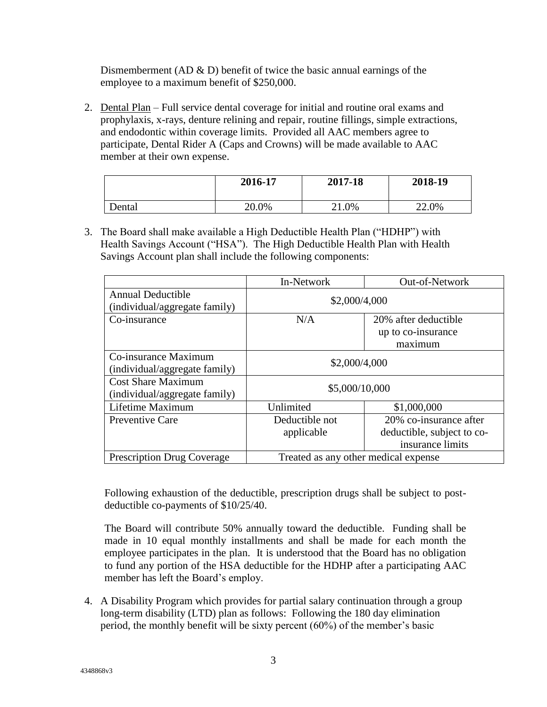Dismemberment (AD  $\&$  D) benefit of twice the basic annual earnings of the employee to a maximum benefit of \$250,000.

2. Dental Plan – Full service dental coverage for initial and routine oral exams and prophylaxis, x-rays, denture relining and repair, routine fillings, simple extractions, and endodontic within coverage limits. Provided all AAC members agree to participate, Dental Rider A (Caps and Crowns) will be made available to AAC member at their own expense.

|        | 2016-17 | 2017-18 | 2018-19 |
|--------|---------|---------|---------|
| Dental | 20.0%   | 21.0%   | 22.0%   |

3. The Board shall make available a High Deductible Health Plan ("HDHP") with Health Savings Account ("HSA"). The High Deductible Health Plan with Health Savings Account plan shall include the following components:

|                                                            | In-Network                           | Out-of-Network                                                           |
|------------------------------------------------------------|--------------------------------------|--------------------------------------------------------------------------|
| <b>Annual Deductible</b><br>(individual/aggregate family)  | \$2,000/4,000                        |                                                                          |
| Co-insurance                                               | N/A                                  | 20% after deductible                                                     |
|                                                            |                                      | up to co-insurance                                                       |
|                                                            |                                      | maximum                                                                  |
| Co-insurance Maximum<br>(individual/aggregate family)      | \$2,000/4,000                        |                                                                          |
| <b>Cost Share Maximum</b><br>(individual/aggregate family) | \$5,000/10,000                       |                                                                          |
| Lifetime Maximum                                           | Unlimited                            | \$1,000,000                                                              |
| Preventive Care                                            | Deductible not<br>applicable         | 20% co-insurance after<br>deductible, subject to co-<br>insurance limits |
| <b>Prescription Drug Coverage</b>                          | Treated as any other medical expense |                                                                          |

Following exhaustion of the deductible, prescription drugs shall be subject to postdeductible co-payments of \$10/25/40.

The Board will contribute 50% annually toward the deductible. Funding shall be made in 10 equal monthly installments and shall be made for each month the employee participates in the plan. It is understood that the Board has no obligation to fund any portion of the HSA deductible for the HDHP after a participating AAC member has left the Board's employ.

4. A Disability Program which provides for partial salary continuation through a group long-term disability (LTD) plan as follows: Following the 180 day elimination period, the monthly benefit will be sixty percent (60%) of the member's basic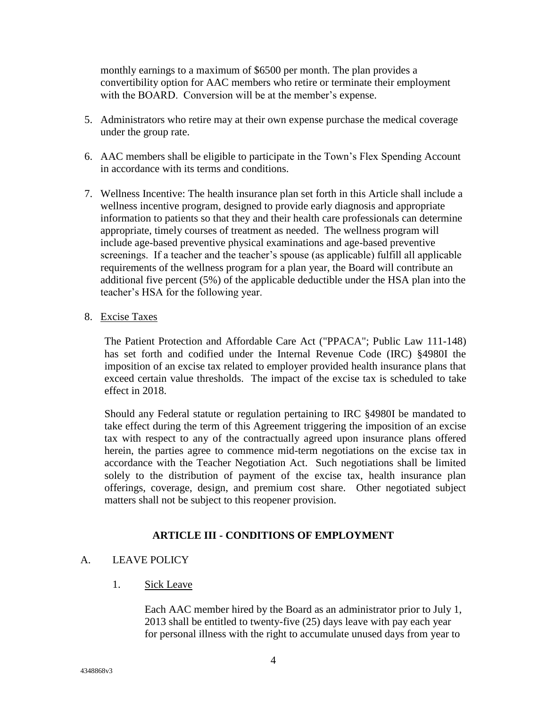monthly earnings to a maximum of \$6500 per month. The plan provides a convertibility option for AAC members who retire or terminate their employment with the BOARD. Conversion will be at the member's expense.

- 5. Administrators who retire may at their own expense purchase the medical coverage under the group rate.
- 6. AAC members shall be eligible to participate in the Town's Flex Spending Account in accordance with its terms and conditions.
- 7. Wellness Incentive: The health insurance plan set forth in this Article shall include a wellness incentive program, designed to provide early diagnosis and appropriate information to patients so that they and their health care professionals can determine appropriate, timely courses of treatment as needed. The wellness program will include age-based preventive physical examinations and age-based preventive screenings. If a teacher and the teacher's spouse (as applicable) fulfill all applicable requirements of the wellness program for a plan year, the Board will contribute an additional five percent (5%) of the applicable deductible under the HSA plan into the teacher's HSA for the following year.
- 8. Excise Taxes

The Patient Protection and Affordable Care Act ("PPACA"; Public Law 111-148) has set forth and codified under the Internal Revenue Code (IRC) §4980I the imposition of an excise tax related to employer provided health insurance plans that exceed certain value thresholds. The impact of the excise tax is scheduled to take effect in 2018.

Should any Federal statute or regulation pertaining to IRC §4980I be mandated to take effect during the term of this Agreement triggering the imposition of an excise tax with respect to any of the contractually agreed upon insurance plans offered herein, the parties agree to commence mid-term negotiations on the excise tax in accordance with the Teacher Negotiation Act. Such negotiations shall be limited solely to the distribution of payment of the excise tax, health insurance plan offerings, coverage, design, and premium cost share. Other negotiated subject matters shall not be subject to this reopener provision.

# **ARTICLE III - CONDITIONS OF EMPLOYMENT**

# A. LEAVE POLICY

1. Sick Leave

Each AAC member hired by the Board as an administrator prior to July 1, 2013 shall be entitled to twenty-five (25) days leave with pay each year for personal illness with the right to accumulate unused days from year to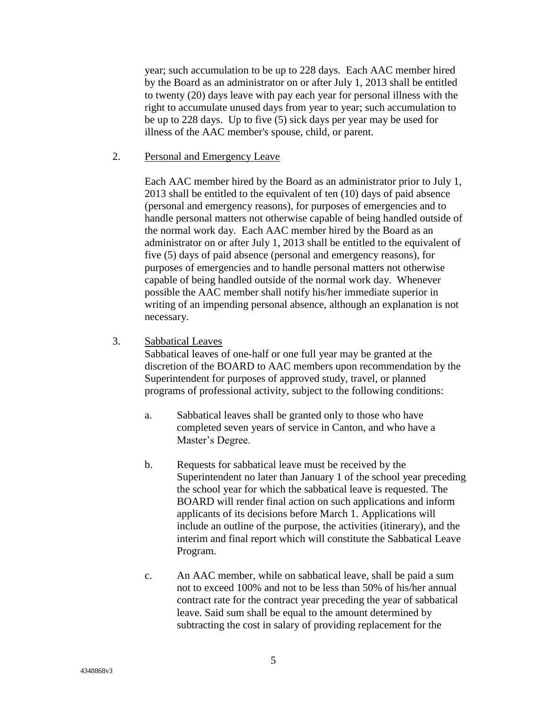year; such accumulation to be up to 228 days. Each AAC member hired by the Board as an administrator on or after July 1, 2013 shall be entitled to twenty (20) days leave with pay each year for personal illness with the right to accumulate unused days from year to year; such accumulation to be up to 228 days. Up to five (5) sick days per year may be used for illness of the AAC member's spouse, child, or parent.

2. Personal and Emergency Leave

Each AAC member hired by the Board as an administrator prior to July 1, 2013 shall be entitled to the equivalent of ten (10) days of paid absence (personal and emergency reasons), for purposes of emergencies and to handle personal matters not otherwise capable of being handled outside of the normal work day. Each AAC member hired by the Board as an administrator on or after July 1, 2013 shall be entitled to the equivalent of five (5) days of paid absence (personal and emergency reasons), for purposes of emergencies and to handle personal matters not otherwise capable of being handled outside of the normal work day. Whenever possible the AAC member shall notify his/her immediate superior in writing of an impending personal absence, although an explanation is not necessary.

3. Sabbatical Leaves

Sabbatical leaves of one-half or one full year may be granted at the discretion of the BOARD to AAC members upon recommendation by the Superintendent for purposes of approved study, travel, or planned programs of professional activity, subject to the following conditions:

- a. Sabbatical leaves shall be granted only to those who have completed seven years of service in Canton, and who have a Master's Degree.
- b. Requests for sabbatical leave must be received by the Superintendent no later than January 1 of the school year preceding the school year for which the sabbatical leave is requested. The BOARD will render final action on such applications and inform applicants of its decisions before March 1. Applications will include an outline of the purpose, the activities (itinerary), and the interim and final report which will constitute the Sabbatical Leave Program.
- c. An AAC member, while on sabbatical leave, shall be paid a sum not to exceed 100% and not to be less than 50% of his/her annual contract rate for the contract year preceding the year of sabbatical leave. Said sum shall be equal to the amount determined by subtracting the cost in salary of providing replacement for the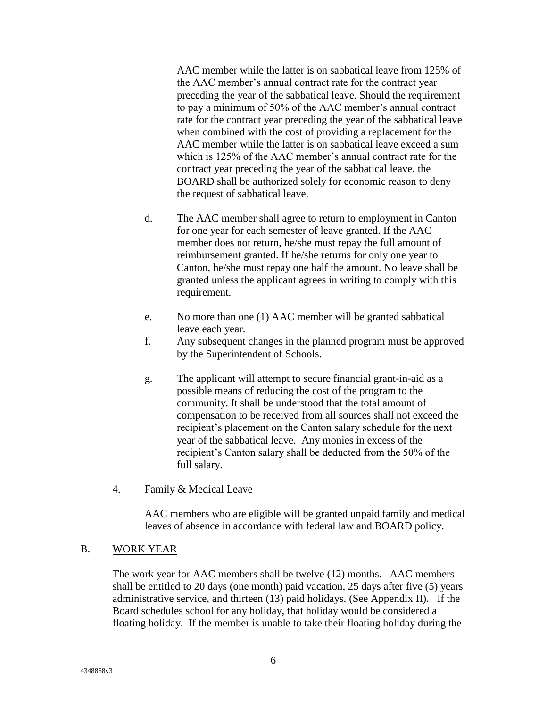AAC member while the latter is on sabbatical leave from 125% of the AAC member's annual contract rate for the contract year preceding the year of the sabbatical leave. Should the requirement to pay a minimum of 50% of the AAC member's annual contract rate for the contract year preceding the year of the sabbatical leave when combined with the cost of providing a replacement for the AAC member while the latter is on sabbatical leave exceed a sum which is 125% of the AAC member's annual contract rate for the contract year preceding the year of the sabbatical leave, the BOARD shall be authorized solely for economic reason to deny the request of sabbatical leave.

- d. The AAC member shall agree to return to employment in Canton for one year for each semester of leave granted. If the AAC member does not return, he/she must repay the full amount of reimbursement granted. If he/she returns for only one year to Canton, he/she must repay one half the amount. No leave shall be granted unless the applicant agrees in writing to comply with this requirement.
- e. No more than one (1) AAC member will be granted sabbatical leave each year.
- f. Any subsequent changes in the planned program must be approved by the Superintendent of Schools.
- g. The applicant will attempt to secure financial grant-in-aid as a possible means of reducing the cost of the program to the community. It shall be understood that the total amount of compensation to be received from all sources shall not exceed the recipient's placement on the Canton salary schedule for the next year of the sabbatical leave. Any monies in excess of the recipient's Canton salary shall be deducted from the 50% of the full salary.
- 4. Family & Medical Leave

AAC members who are eligible will be granted unpaid family and medical leaves of absence in accordance with federal law and BOARD policy.

# B. WORK YEAR

The work year for AAC members shall be twelve (12) months. AAC members shall be entitled to 20 days (one month) paid vacation, 25 days after five (5) years administrative service, and thirteen (13) paid holidays. (See Appendix II). If the Board schedules school for any holiday, that holiday would be considered a floating holiday. If the member is unable to take their floating holiday during the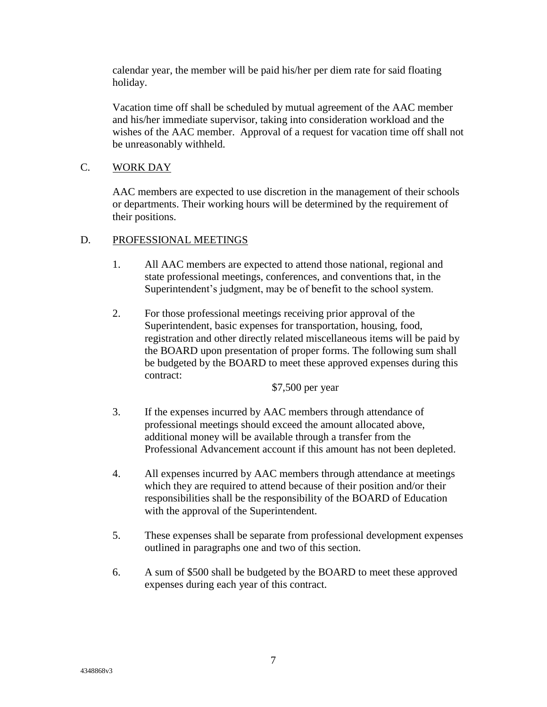calendar year, the member will be paid his/her per diem rate for said floating holiday.

Vacation time off shall be scheduled by mutual agreement of the AAC member and his/her immediate supervisor, taking into consideration workload and the wishes of the AAC member. Approval of a request for vacation time off shall not be unreasonably withheld.

# C. WORK DAY

AAC members are expected to use discretion in the management of their schools or departments. Their working hours will be determined by the requirement of their positions.

#### D. PROFESSIONAL MEETINGS

- 1. All AAC members are expected to attend those national, regional and state professional meetings, conferences, and conventions that, in the Superintendent's judgment, may be of benefit to the school system.
- 2. For those professional meetings receiving prior approval of the Superintendent, basic expenses for transportation, housing, food, registration and other directly related miscellaneous items will be paid by the BOARD upon presentation of proper forms. The following sum shall be budgeted by the BOARD to meet these approved expenses during this contract:

\$7,500 per year

- 3. If the expenses incurred by AAC members through attendance of professional meetings should exceed the amount allocated above, additional money will be available through a transfer from the Professional Advancement account if this amount has not been depleted.
- 4. All expenses incurred by AAC members through attendance at meetings which they are required to attend because of their position and/or their responsibilities shall be the responsibility of the BOARD of Education with the approval of the Superintendent.
- 5. These expenses shall be separate from professional development expenses outlined in paragraphs one and two of this section.
- 6. A sum of \$500 shall be budgeted by the BOARD to meet these approved expenses during each year of this contract.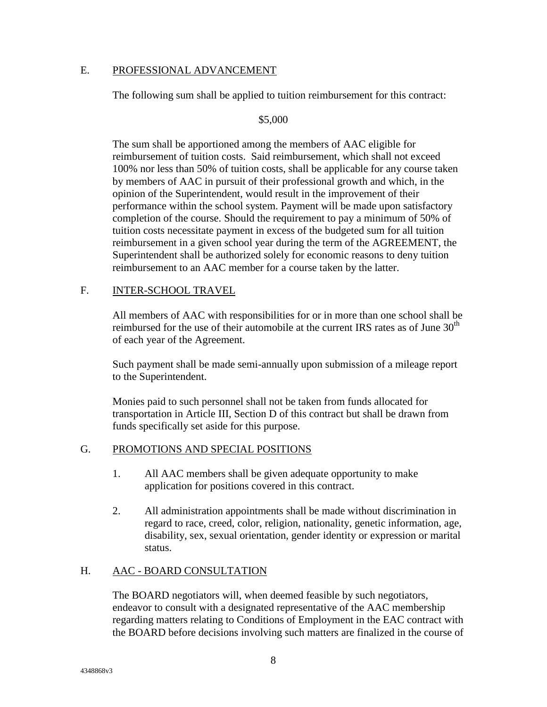#### E. PROFESSIONAL ADVANCEMENT

The following sum shall be applied to tuition reimbursement for this contract:

#### \$5,000

The sum shall be apportioned among the members of AAC eligible for reimbursement of tuition costs. Said reimbursement, which shall not exceed 100% nor less than 50% of tuition costs, shall be applicable for any course taken by members of AAC in pursuit of their professional growth and which, in the opinion of the Superintendent, would result in the improvement of their performance within the school system. Payment will be made upon satisfactory completion of the course. Should the requirement to pay a minimum of 50% of tuition costs necessitate payment in excess of the budgeted sum for all tuition reimbursement in a given school year during the term of the AGREEMENT, the Superintendent shall be authorized solely for economic reasons to deny tuition reimbursement to an AAC member for a course taken by the latter.

#### F. INTER-SCHOOL TRAVEL

All members of AAC with responsibilities for or in more than one school shall be reimbursed for the use of their automobile at the current IRS rates as of June  $30<sup>th</sup>$ of each year of the Agreement.

Such payment shall be made semi-annually upon submission of a mileage report to the Superintendent.

Monies paid to such personnel shall not be taken from funds allocated for transportation in Article III, Section D of this contract but shall be drawn from funds specifically set aside for this purpose.

#### G. PROMOTIONS AND SPECIAL POSITIONS

- 1. All AAC members shall be given adequate opportunity to make application for positions covered in this contract.
- 2. All administration appointments shall be made without discrimination in regard to race, creed, color, religion, nationality, genetic information, age, disability, sex, sexual orientation, gender identity or expression or marital status.

# H. AAC - BOARD CONSULTATION

The BOARD negotiators will, when deemed feasible by such negotiators, endeavor to consult with a designated representative of the AAC membership regarding matters relating to Conditions of Employment in the EAC contract with the BOARD before decisions involving such matters are finalized in the course of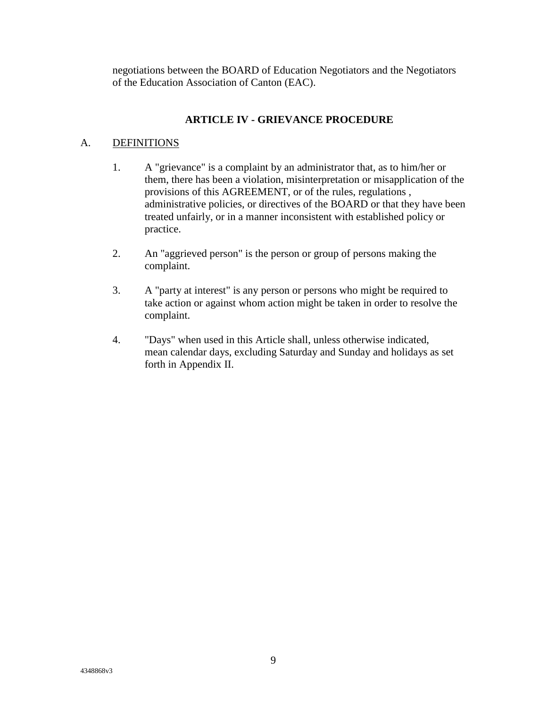negotiations between the BOARD of Education Negotiators and the Negotiators of the Education Association of Canton (EAC).

# **ARTICLE IV - GRIEVANCE PROCEDURE**

### A. DEFINITIONS

- 1. A "grievance" is a complaint by an administrator that, as to him/her or them, there has been a violation, misinterpretation or misapplication of the provisions of this AGREEMENT, or of the rules, regulations , administrative policies, or directives of the BOARD or that they have been treated unfairly, or in a manner inconsistent with established policy or practice.
- 2. An "aggrieved person" is the person or group of persons making the complaint.
- 3. A "party at interest" is any person or persons who might be required to take action or against whom action might be taken in order to resolve the complaint.
- 4. "Days" when used in this Article shall, unless otherwise indicated, mean calendar days, excluding Saturday and Sunday and holidays as set forth in Appendix II.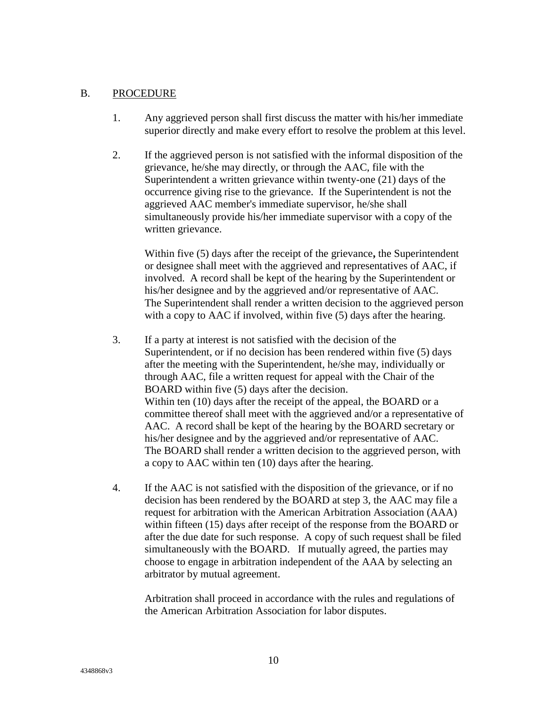#### B. PROCEDURE

- 1. Any aggrieved person shall first discuss the matter with his/her immediate superior directly and make every effort to resolve the problem at this level.
- 2. If the aggrieved person is not satisfied with the informal disposition of the grievance, he/she may directly, or through the AAC, file with the Superintendent a written grievance within twenty-one (21) days of the occurrence giving rise to the grievance. If the Superintendent is not the aggrieved AAC member's immediate supervisor, he/she shall simultaneously provide his/her immediate supervisor with a copy of the written grievance.

Within five (5) days after the receipt of the grievance**,** the Superintendent or designee shall meet with the aggrieved and representatives of AAC, if involved. A record shall be kept of the hearing by the Superintendent or his/her designee and by the aggrieved and/or representative of AAC. The Superintendent shall render a written decision to the aggrieved person with a copy to AAC if involved, within five (5) days after the hearing.

- 3. If a party at interest is not satisfied with the decision of the Superintendent, or if no decision has been rendered within five (5) days after the meeting with the Superintendent, he/she may, individually or through AAC, file a written request for appeal with the Chair of the BOARD within five (5) days after the decision. Within ten (10) days after the receipt of the appeal, the BOARD or a committee thereof shall meet with the aggrieved and/or a representative of AAC. A record shall be kept of the hearing by the BOARD secretary or his/her designee and by the aggrieved and/or representative of AAC. The BOARD shall render a written decision to the aggrieved person, with a copy to AAC within ten (10) days after the hearing.
- 4. If the AAC is not satisfied with the disposition of the grievance, or if no decision has been rendered by the BOARD at step 3, the AAC may file a request for arbitration with the American Arbitration Association (AAA) within fifteen (15) days after receipt of the response from the BOARD or after the due date for such response. A copy of such request shall be filed simultaneously with the BOARD. If mutually agreed, the parties may choose to engage in arbitration independent of the AAA by selecting an arbitrator by mutual agreement.

Arbitration shall proceed in accordance with the rules and regulations of the American Arbitration Association for labor disputes.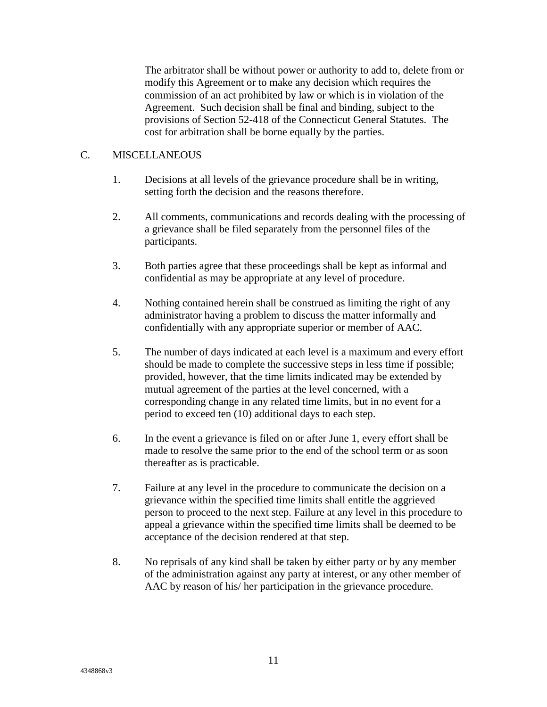The arbitrator shall be without power or authority to add to, delete from or modify this Agreement or to make any decision which requires the commission of an act prohibited by law or which is in violation of the Agreement. Such decision shall be final and binding, subject to the provisions of Section 52-418 of the Connecticut General Statutes.The cost for arbitration shall be borne equally by the parties.

#### C. MISCELLANEOUS

- 1. Decisions at all levels of the grievance procedure shall be in writing, setting forth the decision and the reasons therefore.
- 2. All comments, communications and records dealing with the processing of a grievance shall be filed separately from the personnel files of the participants.
- 3. Both parties agree that these proceedings shall be kept as informal and confidential as may be appropriate at any level of procedure.
- 4. Nothing contained herein shall be construed as limiting the right of any administrator having a problem to discuss the matter informally and confidentially with any appropriate superior or member of AAC.
- 5. The number of days indicated at each level is a maximum and every effort should be made to complete the successive steps in less time if possible; provided, however, that the time limits indicated may be extended by mutual agreement of the parties at the level concerned, with a corresponding change in any related time limits, but in no event for a period to exceed ten (10) additional days to each step.
- 6. In the event a grievance is filed on or after June 1, every effort shall be made to resolve the same prior to the end of the school term or as soon thereafter as is practicable.
- 7. Failure at any level in the procedure to communicate the decision on a grievance within the specified time limits shall entitle the aggrieved person to proceed to the next step. Failure at any level in this procedure to appeal a grievance within the specified time limits shall be deemed to be acceptance of the decision rendered at that step.
- 8. No reprisals of any kind shall be taken by either party or by any member of the administration against any party at interest, or any other member of AAC by reason of his/ her participation in the grievance procedure.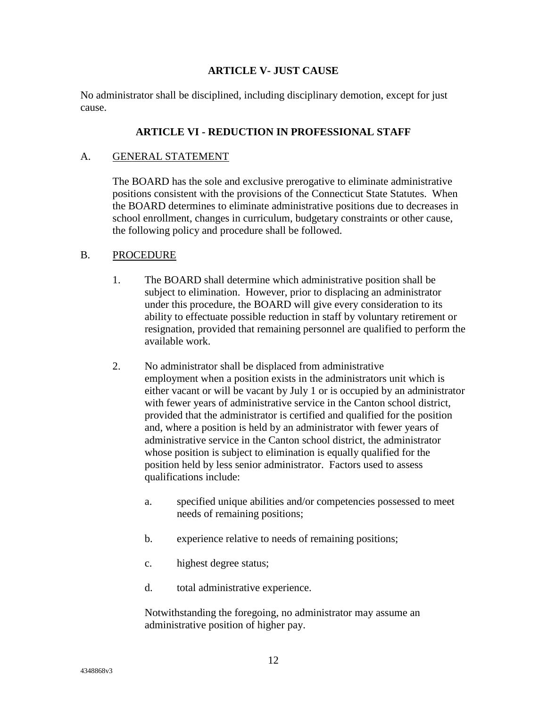### **ARTICLE V- JUST CAUSE**

No administrator shall be disciplined, including disciplinary demotion, except for just cause.

#### **ARTICLE VI - REDUCTION IN PROFESSIONAL STAFF**

#### A. GENERAL STATEMENT

The BOARD has the sole and exclusive prerogative to eliminate administrative positions consistent with the provisions of the Connecticut State Statutes. When the BOARD determines to eliminate administrative positions due to decreases in school enrollment, changes in curriculum, budgetary constraints or other cause, the following policy and procedure shall be followed.

#### B. PROCEDURE

- 1. The BOARD shall determine which administrative position shall be subject to elimination. However, prior to displacing an administrator under this procedure, the BOARD will give every consideration to its ability to effectuate possible reduction in staff by voluntary retirement or resignation, provided that remaining personnel are qualified to perform the available work.
- 2. No administrator shall be displaced from administrative employment when a position exists in the administrators unit which is either vacant or will be vacant by July 1 or is occupied by an administrator with fewer years of administrative service in the Canton school district, provided that the administrator is certified and qualified for the position and, where a position is held by an administrator with fewer years of administrative service in the Canton school district, the administrator whose position is subject to elimination is equally qualified for the position held by less senior administrator. Factors used to assess qualifications include:
	- a. specified unique abilities and/or competencies possessed to meet needs of remaining positions;
	- b. experience relative to needs of remaining positions;
	- c. highest degree status;
	- d. total administrative experience.

Notwithstanding the foregoing, no administrator may assume an administrative position of higher pay.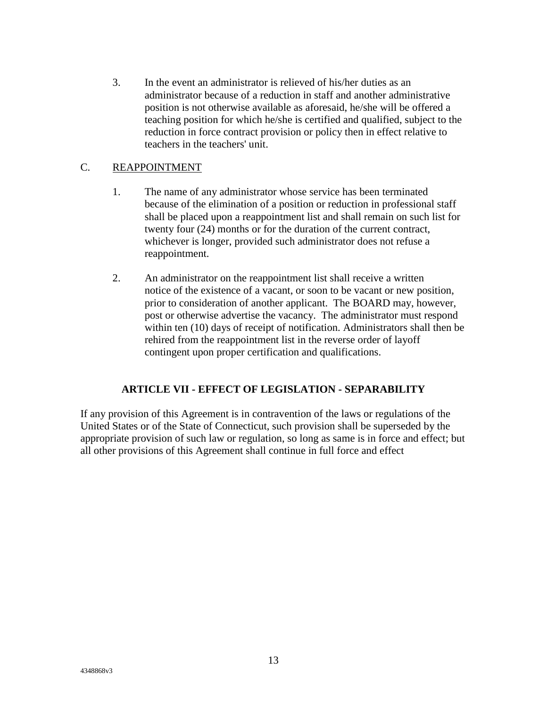3. In the event an administrator is relieved of his/her duties as an administrator because of a reduction in staff and another administrative position is not otherwise available as aforesaid, he/she will be offered a teaching position for which he/she is certified and qualified, subject to the reduction in force contract provision or policy then in effect relative to teachers in the teachers' unit.

### C. REAPPOINTMENT

- 1. The name of any administrator whose service has been terminated because of the elimination of a position or reduction in professional staff shall be placed upon a reappointment list and shall remain on such list for twenty four (24) months or for the duration of the current contract, whichever is longer, provided such administrator does not refuse a reappointment.
- 2. An administrator on the reappointment list shall receive a written notice of the existence of a vacant, or soon to be vacant or new position, prior to consideration of another applicant. The BOARD may, however, post or otherwise advertise the vacancy. The administrator must respond within ten (10) days of receipt of notification. Administrators shall then be rehired from the reappointment list in the reverse order of layoff contingent upon proper certification and qualifications.

#### **ARTICLE VII - EFFECT OF LEGISLATION - SEPARABILITY**

If any provision of this Agreement is in contravention of the laws or regulations of the United States or of the State of Connecticut, such provision shall be superseded by the appropriate provision of such law or regulation, so long as same is in force and effect; but all other provisions of this Agreement shall continue in full force and effect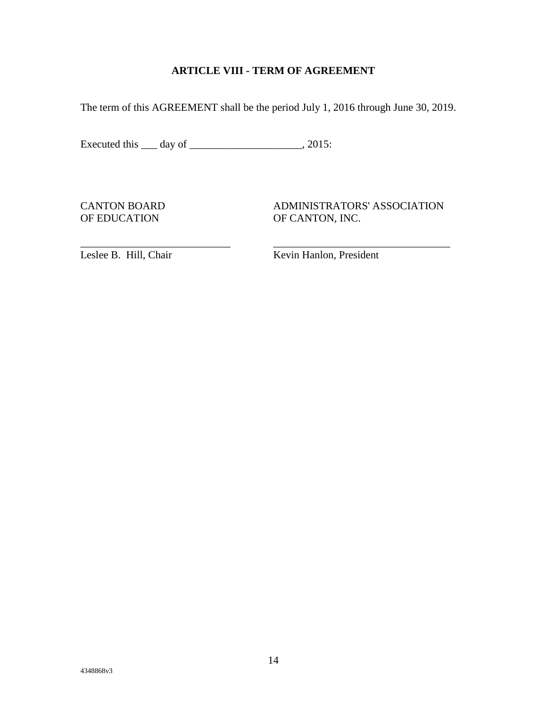# **ARTICLE VIII - TERM OF AGREEMENT**

The term of this AGREEMENT shall be the period July 1, 2016 through June 30, 2019.

\_\_\_\_\_\_\_\_\_\_\_\_\_\_\_\_\_\_\_\_\_\_\_\_\_\_\_\_ \_\_\_\_\_\_\_\_\_\_\_\_\_\_\_\_\_\_\_\_\_\_\_\_\_\_\_\_\_\_\_\_\_

Executed this \_\_\_ day of \_\_\_\_\_\_\_\_\_\_\_\_\_\_\_\_\_\_\_\_\_\_, 2015:

CANTON BOARD ADMINISTRATORS' ASSOCIATION OF EDUCATION OF CANTON, INC.

[Leslee](mailto:ekandrysawtz@cantonschools.org) B. Hill, Chair Kevin Hanlon, President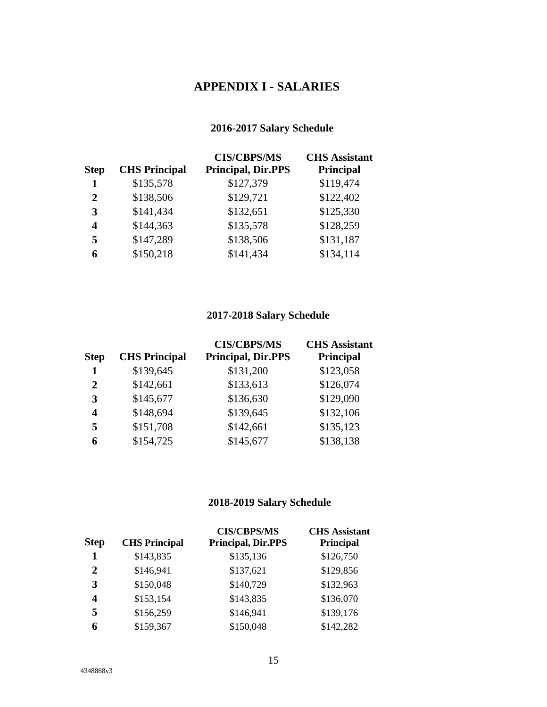# **APPENDIX I - SALARIES**

# **2016-2017 Salary Schedule**

| <b>Step</b> | <b>CHS Principal</b> | <b>CIS/CBPS/MS</b><br><b>Principal, Dir.PPS</b> | <b>CHS</b> Assistant<br>Principal |
|-------------|----------------------|-------------------------------------------------|-----------------------------------|
| 1           | \$135,578            | \$127,379                                       | \$119,474                         |
| 2           | \$138,506            | \$129,721                                       | \$122,402                         |
| 3           | \$141,434            | \$132,651                                       | \$125,330                         |
| 4           | \$144,363            | \$135,578                                       | \$128,259                         |
| 5           | \$147,289            | \$138,506                                       | \$131,187                         |
| 6           | \$150,218            | \$141,434                                       | \$134,114                         |

# **2017-2018 Salary Schedule**

|              |                      | <b>CIS/CBPS/MS</b>        | <b>CHS</b> Assistant |
|--------------|----------------------|---------------------------|----------------------|
| <b>Step</b>  | <b>CHS Principal</b> | <b>Principal, Dir.PPS</b> | Principal            |
| 1            | \$139,645            | \$131,200                 | \$123,058            |
| $\mathbf{2}$ | \$142,661            | \$133,613                 | \$126,074            |
| 3            | \$145,677            | \$136,630                 | \$129,090            |
| 4            | \$148,694            | \$139,645                 | \$132,106            |
| 5            | \$151,708            | \$142,661                 | \$135,123            |
| 6            | \$154,725            | \$145,677                 | \$138,138            |

# **2018-2019 Salary Schedule**

| <b>Step</b> | <b>CHS Principal</b> | <b>CIS/CBPS/MS</b><br><b>Principal, Dir.PPS</b> | <b>CHS</b> Assistant<br><b>Principal</b> |
|-------------|----------------------|-------------------------------------------------|------------------------------------------|
| 1           | \$143,835            | \$135,136                                       | \$126,750                                |
| 2           | \$146,941            | \$137,621                                       | \$129,856                                |
| 3           | \$150,048            | \$140,729                                       | \$132,963                                |
| 4           | \$153,154            | \$143,835                                       | \$136,070                                |
| 5           | \$156,259            | \$146,941                                       | \$139,176                                |
| 6           | \$159,367            | \$150,048                                       | \$142,282                                |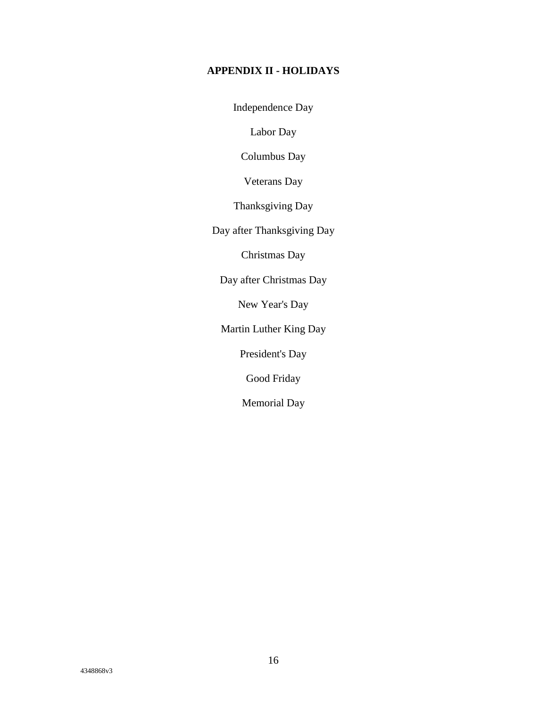# **APPENDIX II - HOLIDAYS**

Independence Day

Labor Day

Columbus Day

Veterans Day

Thanksgiving Day

Day after Thanksgiving Day

Christmas Day

Day after Christmas Day

New Year's Day

Martin Luther King Day

President's Day

Good Friday

Memorial Day